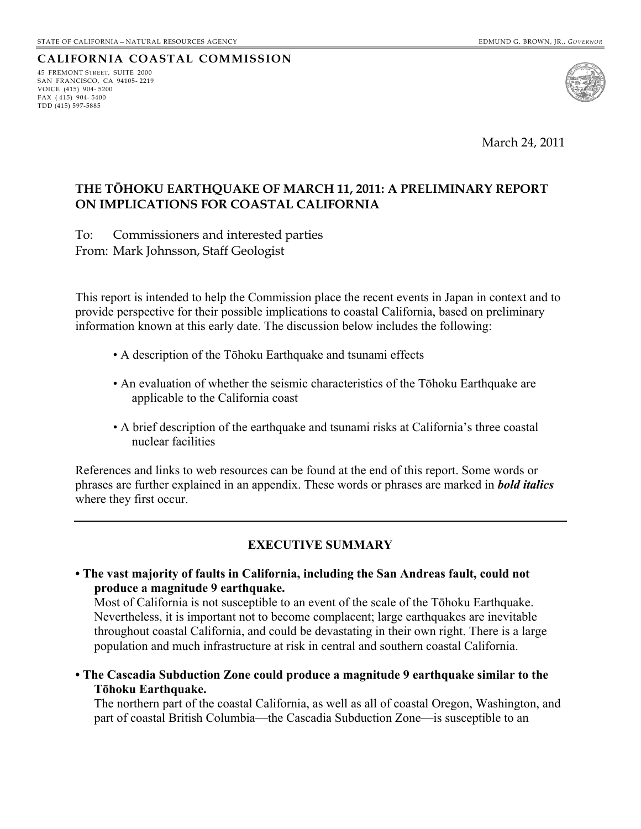## **CALIFORNIA COASTAL COMMISSION**

45 FREMONT STREET, SUITE 2000 SAN FRANCISCO, CA 94105- 2219 VOICE (415) 904- 5200 FAX  $(415)$  904-5400 TDD (415) 597-5885



March 24, 2011

### **THE TƿHOKU EARTHQUAKE OF MARCH 11, 2011: A PRELIMINARY REPORT ON IMPLICATIONS FOR COASTAL CALIFORNIA**

To: Commissioners and interested parties From: Mark Johnsson, Staff Geologist

This report is intended to help the Commission place the recent events in Japan in context and to provide perspective for their possible implications to coastal California, based on preliminary information known at this early date. The discussion below includes the following:

- A description of the Tōhoku Earthquake and tsunami effects
- An evaluation of whether the seismic characteristics of the Tōhoku Earthquake are applicable to the California coast
- A brief description of the earthquake and tsunami risks at California's three coastal nuclear facilities

References and links to web resources can be found at the end of this report. Some words or phrases are further explained in an appendix. These words or phrases are marked in *bold italics*  where they first occur.

### **EXECUTIVE SUMMARY**

**. The vast majority of faults in California, including the San Andreas fault, could not produce a magnitude 9 earthquake.** 

Most of California is not susceptible to an event of the scale of the Tōhoku Earthquake. Nevertheless, it is important not to become complacent; large earthquakes are inevitable throughout coastal California, and could be devastating in their own right. There is a large population and much infrastructure at risk in central and southern coastal California.

<span id="page-0-0"></span>**. The Cascadia Subduction Zone could produce a magnitude 9 earthquake similar to the Tǀhoku Earthquake.**

The northern part of the coastal California, as well as all of coastal Oregon, Washington, and part of coastal British Columbia—the Cascadia Subduction Zone—is susceptible to an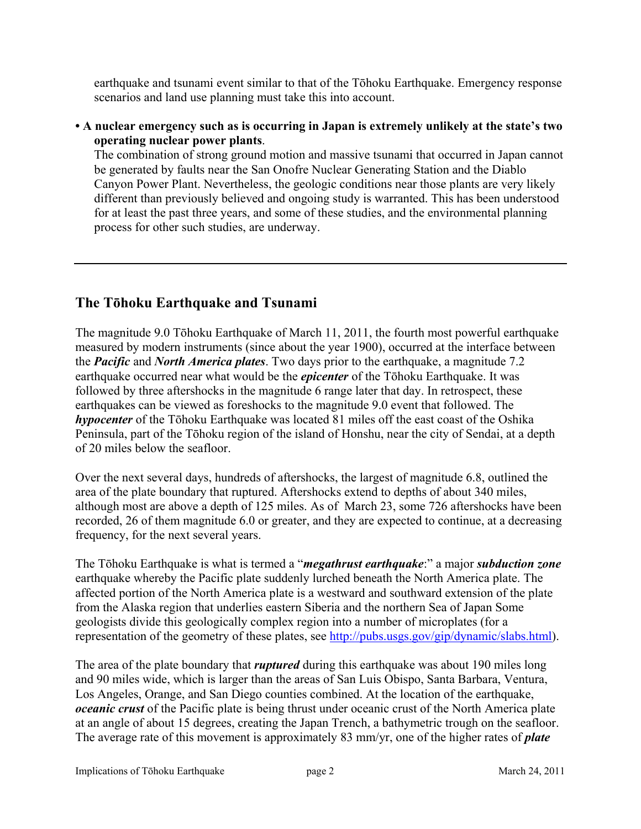earthquake and tsunami event similar to that of the Tōhoku Earthquake. Emergency response scenarios and land use planning must take this into account.

### • A nuclear emergency such as is occurring in Japan is extremely unlikely at the state's two **operating nuclear power plants**.

The combination of strong ground motion and massive tsunami that occurred in Japan cannot be generated by faults near the San Onofre Nuclear Generating Station and the Diablo Canyon Power Plant. Nevertheless, the geologic conditions near those plants are very likely different than previously believed and ongoing study is warranted. This has been understood for at least the past three years, and some of these studies, and the environmental planning process for other such studies, are underway.

## **The Tǀhoku Earthquake and Tsunami**

The magnitude 9.0 Tōhoku Earthquake of March 11, 2011, the fourth most powerful earthquake measured by modern instruments (since about the year 1900), occurred at the interface between the *Pacific* and *North America plates*. Two days prior to the earthquake, a magnitude 7.2 earthquake occurred near what would be the *epicenter* of the Tōhoku Earthquake. It was followed by three aftershocks in the magnitude 6 range later that day. In retrospect, these earthquakes can be viewed as foreshocks to the magnitude 9.0 event that followed. The *hypocenter* of the Tōhoku Earthquake was located 81 miles off the east coast of the Oshika Peninsula, part of the Tōhoku region of the island of Honshu, near the city of Sendai, at a depth of 20 miles below the seafloor.

Over the next several days, hundreds of aftershocks, the largest of magnitude 6.8, outlined the area of the plate boundary that ruptured. Aftershocks extend to depths of about 340 miles, although most are above a depth of 125 miles. As of March 23, some 726 aftershocks have been recorded, 26 of them magnitude 6.0 or greater, and they are expected to continue, at a decreasing frequency, for the next several years.

The Tōhoku Earthquake is what is termed a "*megathrust earthquake*:" a major *subduction zone* earthquake whereby the Pacific plate suddenly lurched beneath the North America plate. The affected portion of the North America plate is a westward and southward extension of the plate from the Alaska region that underlies eastern Siberia and the northern Sea of Japan Some geologists divide this geologically complex region into a number of microplates (for a representation of the geometry of these plates, see<http://pubs.usgs.gov/gip/dynamic/slabs.html>).

The area of the plate boundary that *ruptured* during this earthquake was about 190 miles long and 90 miles wide, which is larger than the areas of San Luis Obispo, Santa Barbara, Ventura, Los Angeles, Orange, and San Diego counties combined. At the location of the earthquake, *oceanic crust* of the Pacific plate is being thrust under oceanic crust of the North America plate at an angle of about 15 degrees, creating the Japan Trench, a bathymetric trough on the seafloor. The average rate of this movement is approximately 83 mm/yr, one of the higher rates of *plate*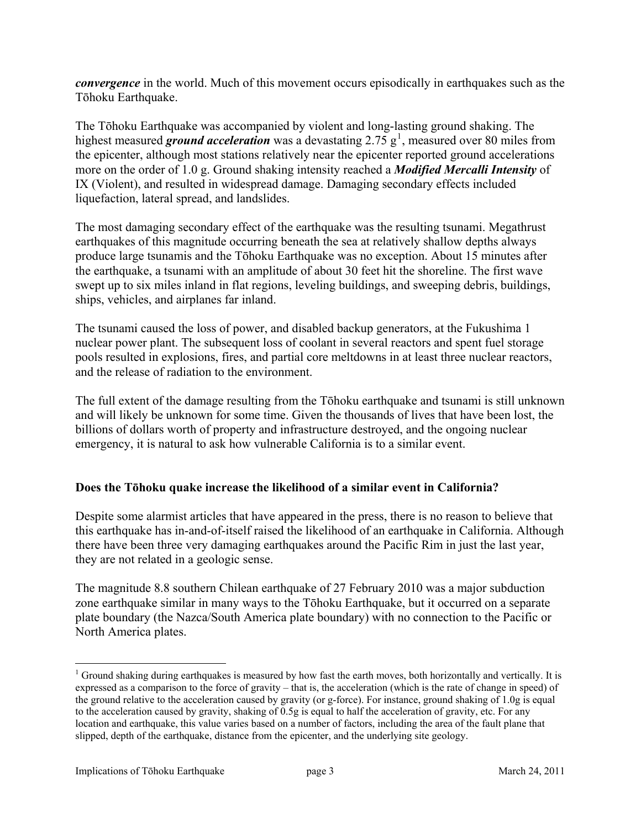*convergence* in the world. Much of this movement occurs episodically in earthquakes such as the Tōhoku Earthquake.

The Tōhoku Earthquake was accompanied by violent and long-lasting ground shaking. The highest measured **ground acceleration** was a devastating  $2.75 \text{ g}^1$  $2.75 \text{ g}^1$ , measured over 80 miles from the epicenter, although most stations relatively near the epicenter reported ground accelerations more on the order of 1.0 g. Ground shaking intensity reached a *Modified Mercalli Intensity* of IX (Violent), and resulted in widespread damage. Damaging secondary effects included liquefaction, lateral spread, and landslides.

The most damaging secondary effect of the earthquake was the resulting tsunami. Megathrust earthquakes of this magnitude occurring beneath the sea at relatively shallow depths always produce large tsunamis and the Tōhoku Earthquake was no exception. About 15 minutes after the earthquake, a tsunami with an amplitude of about 30 feet hit the shoreline. The first wave swept up to six miles inland in flat regions, leveling buildings, and sweeping debris, buildings, ships, vehicles, and airplanes far inland.

The tsunami caused the loss of power, and disabled backup generators, at the Fukushima 1 nuclear power plant. The subsequent loss of coolant in several reactors and spent fuel storage pools resulted in explosions, fires, and partial core meltdowns in at least three nuclear reactors, and the release of radiation to the environment.

The full extent of the damage resulting from the Tōhoku earthquake and tsunami is still unknown and will likely be unknown for some time. Given the thousands of lives that have been lost, the billions of dollars worth of property and infrastructure destroyed, and the ongoing nuclear emergency, it is natural to ask how vulnerable California is to a similar event.

### **Does the Tǀhoku quake increase the likelihood of a similar event in California?**

Despite some alarmist articles that have appeared in the press, there is no reason to believe that this earthquake has in-and-of-itself raised the likelihood of an earthquake in California. Although there have been three very damaging earthquakes around the Pacific Rim in just the last year, they are not related in a geologic sense.

The magnitude 8.8 southern Chilean earthquake of 27 February 2010 was a major subduction zone earthquake similar in many ways to the Tōhoku Earthquake, but it occurred on a separate plate boundary (the Nazca/South America plate boundary) with no connection to the Pacific or North America plates.

 $\overline{a}$ 

 $1$  Ground shaking during earthquakes is measured by how fast the earth moves, both horizontally and vertically. It is expressed as a comparison to the force of gravity  $-$  that is, the acceleration (which is the rate of change in speed) of the ground relative to the acceleration caused by gravity (or g-force). For instance, ground shaking of 1.0g is equal to the acceleration caused by gravity, shaking of 0.5g is equal to half the acceleration of gravity, etc. For any location and earthquake, this value varies based on a number of factors, including the area of the fault plane that slipped, depth of the earthquake, distance from the epicenter, and the underlying site geology.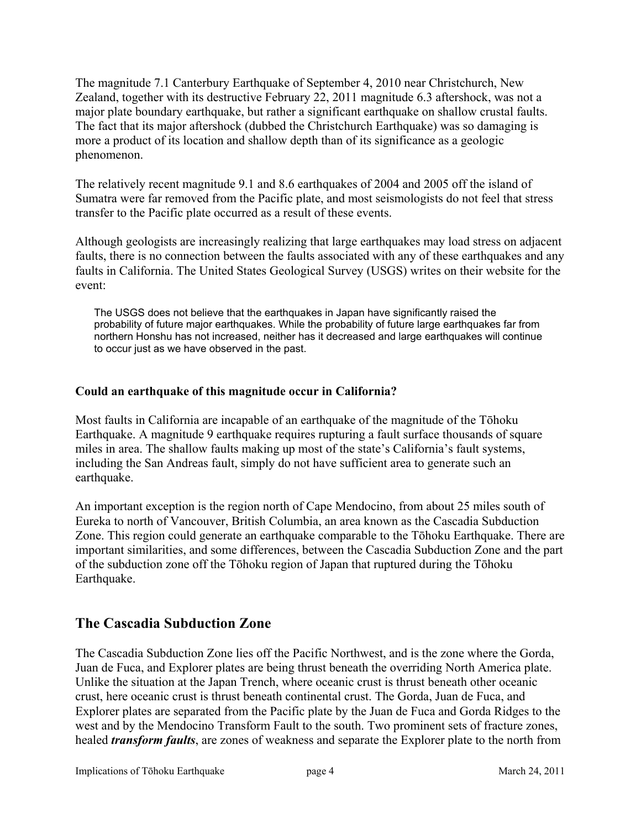The magnitude 7.1 Canterbury Earthquake of September 4, 2010 near Christchurch, New Zealand, together with its destructive February 22, 2011 magnitude 6.3 aftershock, was not a major plate boundary earthquake, but rather a significant earthquake on shallow crustal faults. The fact that its major aftershock (dubbed the Christchurch Earthquake) was so damaging is more a product of its location and shallow depth than of its significance as a geologic phenomenon.

The relatively recent magnitude 9.1 and 8.6 earthquakes of 2004 and 2005 off the island of Sumatra were far removed from the Pacific plate, and most seismologists do not feel that stress transfer to the Pacific plate occurred as a result of these events.

Although geologists are increasingly realizing that large earthquakes may load stress on adjacent faults, there is no connection between the faults associated with any of these earthquakes and any faults in California. The United States Geological Survey (USGS) writes on their website for the event:

The USGS does not believe that the earthquakes in Japan have significantly raised the probability of future major earthquakes. While the probability of future large earthquakes far from northern Honshu has not increased, neither has it decreased and large earthquakes will continue to occur just as we have observed in the past.

### **Could an earthquake of this magnitude occur in California?**

Most faults in California are incapable of an earthquake of the magnitude of the Tōhoku Earthquake. A magnitude 9 earthquake requires rupturing a fault surface thousands of square miles in area. The shallow faults making up most of the state's California's fault systems, including the San Andreas fault, simply do not have sufficient area to generate such an earthquake.

An important exception is the region north of Cape Mendocino, from about 25 miles south of Eureka to north of Vancouver, British Columbia, an area known as the Cascadia Subduction Zone. This region could generate an earthquake comparable to the Tōhoku Earthquake. There are important similarities, and some differences, between the Cascadia Subduction Zone and the part of the subduction zone off the Tōhoku region of Japan that ruptured during the Tōhoku Earthquake.

## **The Cascadia Subduction Zone**

The Cascadia Subduction Zone lies off the Pacific Northwest, and is the zone where the Gorda, Juan de Fuca, and Explorer plates are being thrust beneath the overriding North America plate. Unlike the situation at the Japan Trench, where oceanic crust is thrust beneath other oceanic crust, here oceanic crust is thrust beneath continental crust. The Gorda, Juan de Fuca, and Explorer plates are separated from the Pacific plate by the Juan de Fuca and Gorda Ridges to the west and by the Mendocino Transform Fault to the south. Two prominent sets of fracture zones, healed *transform faults*, are zones of weakness and separate the Explorer plate to the north from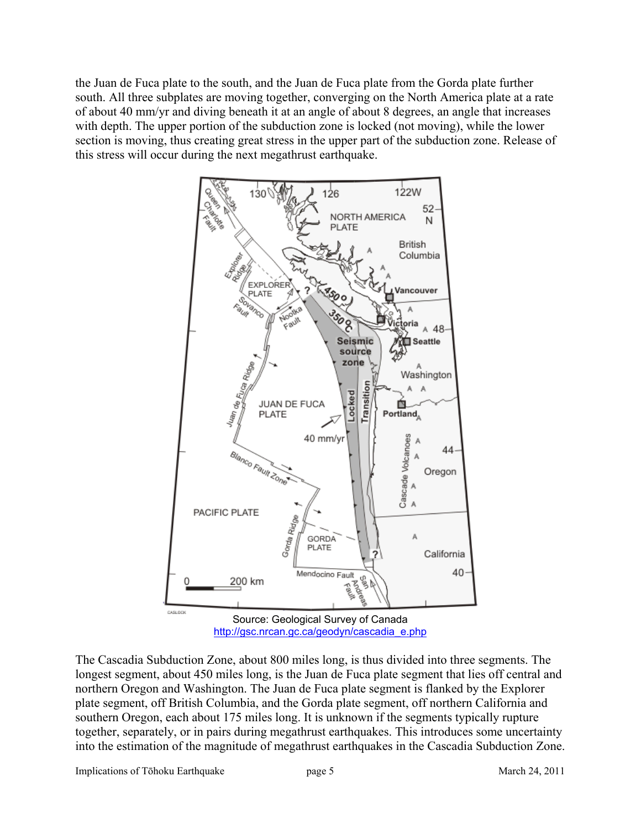the Juan de Fuca plate to the south, and the Juan de Fuca plate from the Gorda plate further south. All three subplates are moving together, converging on the North America plate at a rate of about 40 mm/yr and diving beneath it at an angle of about 8 degrees, an angle that increases with depth. The upper portion of the subduction zone is locked (not moving), while the lower section is moving, thus creating great stress in the upper part of the subduction zone. Release of this stress will occur during the next megathrust earthquake.



The Cascadia Subduction Zone, about 800 miles long, is thus divided into three segments. The longest segment, about 450 miles long, is the Juan de Fuca plate segment that lies off central and northern Oregon and Washington. The Juan de Fuca plate segment is flanked by the Explorer plate segment, off British Columbia, and the Gorda plate segment, off northern California and southern Oregon, each about 175 miles long. It is unknown if the segments typically rupture together, separately, or in pairs during megathrust earthquakes. This introduces some uncertainty into the estimation of the magnitude of megathrust earthquakes in the Cascadia Subduction Zone.

Implications of Tōhoku Earthquake page 5 March 24, 2011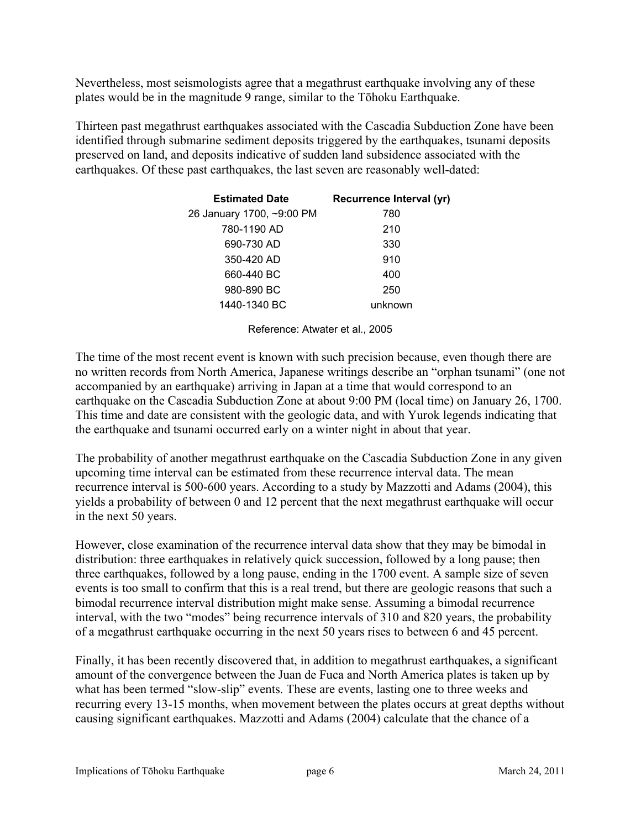Nevertheless, most seismologists agree that a megathrust earthquake involving any of these plates would be in the magnitude 9 range, similar to the Tōhoku Earthquake.

Thirteen past megathrust earthquakes associated with the Cascadia Subduction Zone have been identified through submarine sediment deposits triggered by the earthquakes, tsunami deposits preserved on land, and deposits indicative of sudden land subsidence associated with the earthquakes. Of these past earthquakes, the last seven are reasonably well-dated:

| <b>Estimated Date</b>     | Recurrence Interval (yr) |
|---------------------------|--------------------------|
| 26 January 1700, ~9:00 PM | 780                      |
| 780-1190 AD               | 210                      |
| 690-730 AD                | 330                      |
| 350-420 AD                | 910                      |
| 660-440 BC                | 400                      |
| 980-890 BC                | 250                      |
| 1440-1340 BC              | unknown                  |

Reference: Atwater et al., 2005

The time of the most recent event is known with such precision because, even though there are no written records from North America, Japanese writings describe an "orphan tsunami" (one not accompanied by an earthquake) arriving in Japan at a time that would correspond to an earthquake on the Cascadia Subduction Zone at about 9:00 PM (local time) on January 26, 1700. This time and date are consistent with the geologic data, and with Yurok legends indicating that the earthquake and tsunami occurred early on a winter night in about that year.

The probability of another megathrust earthquake on the Cascadia Subduction Zone in any given upcoming time interval can be estimated from these recurrence interval data. The mean recurrence interval is 500-600 years. According to a study by Mazzotti and Adams (2004), this yields a probability of between 0 and 12 percent that the next megathrust earthquake will occur in the next 50 years.

However, close examination of the recurrence interval data show that they may be bimodal in distribution: three earthquakes in relatively quick succession, followed by a long pause; then three earthquakes, followed by a long pause, ending in the 1700 event. A sample size of seven events is too small to confirm that this is a real trend, but there are geologic reasons that such a bimodal recurrence interval distribution might make sense. Assuming a bimodal recurrence interval, with the two "modes" being recurrence intervals of 310 and 820 years, the probability of a megathrust earthquake occurring in the next 50 years rises to between 6 and 45 percent.

Finally, it has been recently discovered that, in addition to megathrust earthquakes, a significant amount of the convergence between the Juan de Fuca and North America plates is taken up by what has been termed "slow-slip" events. These are events, lasting one to three weeks and recurring every 13-15 months, when movement between the plates occurs at great depths without causing significant earthquakes. Mazzotti and Adams (2004) calculate that the chance of a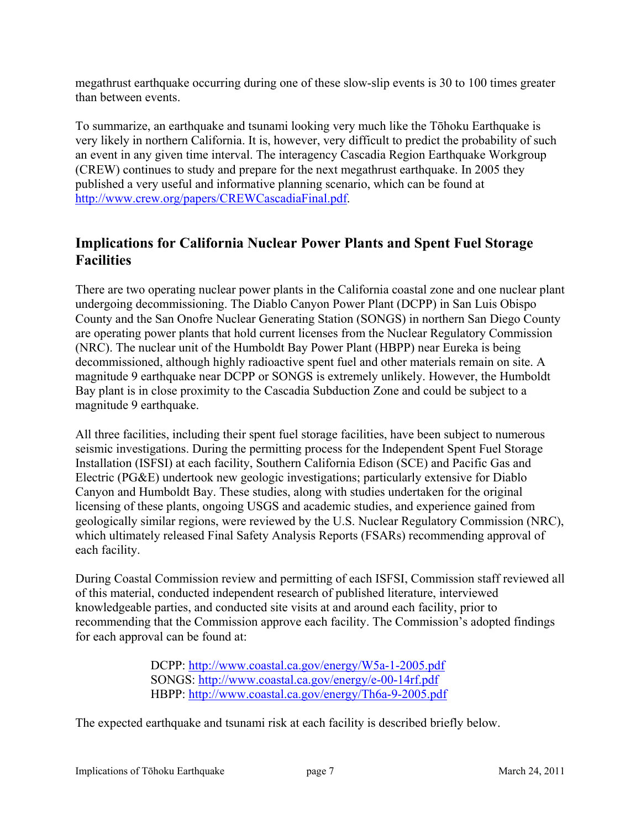megathrust earthquake occurring during one of these slow-slip events is 30 to 100 times greater than between events.

To summarize, an earthquake and tsunami looking very much like the Tōhoku Earthquake is very likely in northern California. It is, however, very difficult to predict the probability of such an event in any given time interval. The interagency Cascadia Region Earthquake Workgroup (CREW) continues to study and prepare for the next megathrust earthquake. In 2005 they published a very useful and informative planning scenario, which can be found at [http://www.crew.org/papers/CREWCascadiaFinal.pdf.](http://www.crew.org/papers/CREWCascadiaFinal.pdf)

# **Implications for California Nuclear Power Plants and Spent Fuel Storage Facilities**

There are two operating nuclear power plants in the California coastal zone and one nuclear plant undergoing decommissioning. The Diablo Canyon Power Plant (DCPP) in San Luis Obispo County and the San Onofre Nuclear Generating Station (SONGS) in northern San Diego County are operating power plants that hold current licenses from the Nuclear Regulatory Commission (NRC). The nuclear unit of the Humboldt Bay Power Plant (HBPP) near Eureka is being decommissioned, although highly radioactive spent fuel and other materials remain on site. A magnitude 9 earthquake near DCPP or SONGS is extremely unlikely. However, the Humboldt Bay plant is in close proximity to the Cascadia Subduction Zone and could be subject to a magnitude 9 earthquake.

All three facilities, including their spent fuel storage facilities, have been subject to numerous seismic investigations. During the permitting process for the Independent Spent Fuel Storage Installation (ISFSI) at each facility, Southern California Edison (SCE) and Pacific Gas and Electric (PG&E) undertook new geologic investigations; particularly extensive for Diablo Canyon and Humboldt Bay. These studies, along with studies undertaken for the original licensing of these plants, ongoing USGS and academic studies, and experience gained from geologically similar regions, were reviewed by the U.S. Nuclear Regulatory Commission (NRC), which ultimately released Final Safety Analysis Reports (FSARs) recommending approval of each facility.

During Coastal Commission review and permitting of each ISFSI, Commission staff reviewed all of this material, conducted independent research of published literature, interviewed knowledgeable parties, and conducted site visits at and around each facility, prior to recommending that the Commission approve each facility. The Commission's adopted findings for each approval can be found at:

> DCPP:<http://www.coastal.ca.gov/energy/W5a-1-2005.pdf> SONGS: <http://www.coastal.ca.gov/energy/e-00-14rf.pdf> HBPP:<http://www.coastal.ca.gov/energy/Th6a-9-2005.pdf>

The expected earthquake and tsunami risk at each facility is described briefly below.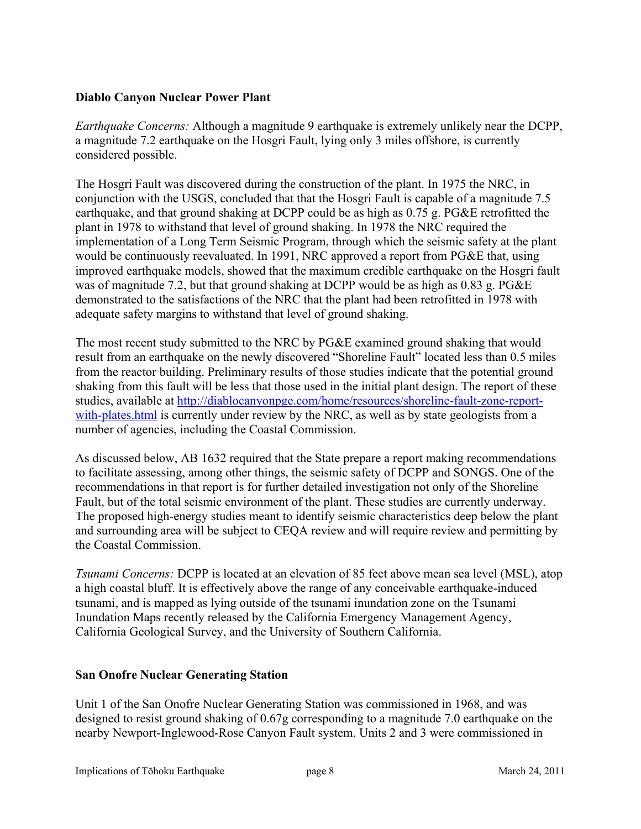### **Diablo Canyon Nuclear Power Plant**

*Earthquake Concerns:* Although a magnitude 9 earthquake is extremely unlikely near the DCPP, a magnitude 7.2 earthquake on the Hosgri Fault, lying only 3 miles offshore, is currently considered possible.

The Hosgri Fault was discovered during the construction of the plant. In 1975 the NRC, in conjunction with the USGS, concluded that that the Hosgri Fault is capable of a magnitude 7.5 earthquake, and that ground shaking at DCPP could be as high as 0.75 g. PG&E retrofitted the plant in 1978 to withstand that level of ground shaking. In 1978 the NRC required the implementation of a Long Term Seismic Program, through which the seismic safety at the plant would be continuously reevaluated. In 1991, NRC approved a report from PG&E that, using improved earthquake models, showed that the maximum credible earthquake on the Hosgri fault was of magnitude 7.2, but that ground shaking at DCPP would be as high as 0.83 g. PG&E demonstrated to the satisfactions of the NRC that the plant had been retrofitted in 1978 with adequate safety margins to withstand that level of ground shaking.

The most recent study submitted to the NRC by PG&E examined ground shaking that would result from an earthquake on the newly discovered "Shoreline Fault" located less than 0.5 miles from the reactor building. Preliminary results of those studies indicate that the potential ground shaking from this fault will be less that those used in the initial plant design. The report of these studies, available at [http://diablocanyonpge.com/home/resources/shoreline-fault-zone-report](http://diablocanyonpge.com/home/resources/shoreline-fault-zone-report-with-plates.html)[with-plates.html](http://diablocanyonpge.com/home/resources/shoreline-fault-zone-report-with-plates.html) is currently under review by the NRC, as well as by state geologists from a number of agencies, including the Coastal Commission.

As discussed below, AB 1632 required that the State prepare a report making recommendations to facilitate assessing, among other things, the seismic safety of DCPP and SONGS. One of the recommendations in that report is for further detailed investigation not only of the Shoreline Fault, but of the total seismic environment of the plant. These studies are currently underway. The proposed high-energy studies meant to identify seismic characteristics deep below the plant and surrounding area will be subject to CEQA review and will require review and permitting by the Coastal Commission.

*Tsunami Concerns:* DCPP is located at an elevation of 85 feet above mean sea level (MSL), atop a high coastal bluff. It is effectively above the range of any conceivable earthquake-induced tsunami, and is mapped as lying outside of the tsunami inundation zone on the Tsunami Inundation Maps recently released by the California Emergency Management Agency, California Geological Survey, and the University of Southern California.

### **San Onofre Nuclear Generating Station**

Unit 1 of the San Onofre Nuclear Generating Station was commissioned in 1968, and was designed to resist ground shaking of 0.67g corresponding to a magnitude 7.0 earthquake on the nearby Newport-Inglewood-Rose Canyon Fault system. Units 2 and 3 were commissioned in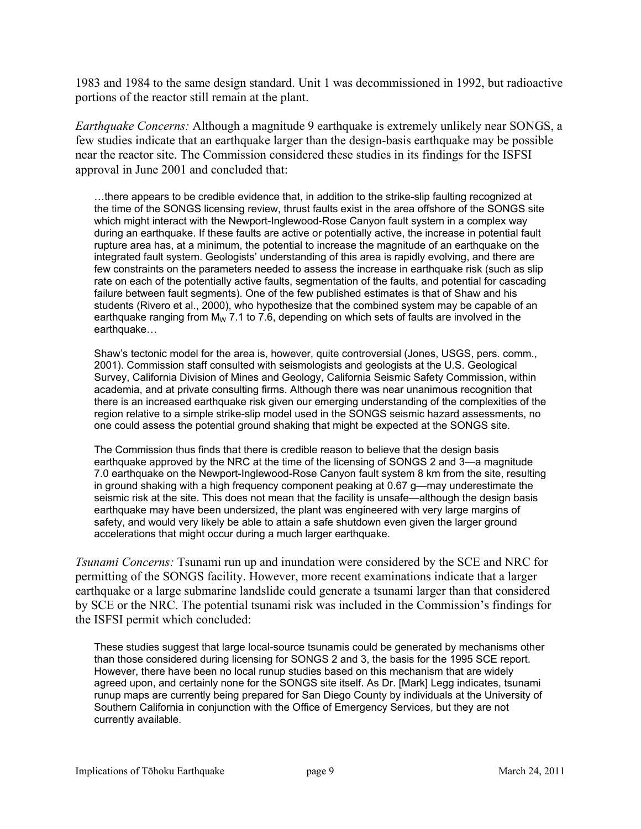1983 and 1984 to the same design standard. Unit 1 was decommissioned in 1992, but radioactive portions of the reactor still remain at the plant.

*Earthquake Concerns:* Although a magnitude 9 earthquake is extremely unlikely near SONGS, a few studies indicate that an earthquake larger than the design-basis earthquake may be possible near the reactor site. The Commission considered these studies in its findings for the ISFSI approval in June 2001 and concluded that:

...there appears to be credible evidence that, in addition to the strike-slip faulting recognized at the time of the SONGS licensing review, thrust faults exist in the area offshore of the SONGS site which might interact with the Newport-Inglewood-Rose Canyon fault system in a complex way during an earthquake. If these faults are active or potentially active, the increase in potential fault rupture area has, at a minimum, the potential to increase the magnitude of an earthquake on the integrated fault system. Geologists' understanding of this area is rapidly evolving, and there are few constraints on the parameters needed to assess the increase in earthquake risk (such as slip rate on each of the potentially active faults, segmentation of the faults, and potential for cascading failure between fault segments). One of the few published estimates is that of Shaw and his students (Rivero et al., 2000), who hypothesize that the combined system may be capable of an earthquake ranging from  $M_W$  7.1 to 7.6, depending on which sets of faults are involved in the earthquake...

Shaw's tectonic model for the area is, however, quite controversial (Jones, USGS, pers. comm., 2001). Commission staff consulted with seismologists and geologists at the U.S. Geological Survey, California Division of Mines and Geology, California Seismic Safety Commission, within academia, and at private consulting firms. Although there was near unanimous recognition that there is an increased earthquake risk given our emerging understanding of the complexities of the region relative to a simple strike-slip model used in the SONGS seismic hazard assessments, no one could assess the potential ground shaking that might be expected at the SONGS site.

The Commission thus finds that there is credible reason to believe that the design basis earthquake approved by the NRC at the time of the licensing of SONGS 2 and 3-a magnitude 7.0 earthquake on the Newport-Inglewood-Rose Canyon fault system 8 km from the site, resulting in ground shaking with a high frequency component peaking at 0.67 g-may underestimate the seismic risk at the site. This does not mean that the facility is unsafe—although the design basis earthquake may have been undersized, the plant was engineered with very large margins of safety, and would very likely be able to attain a safe shutdown even given the larger ground accelerations that might occur during a much larger earthquake.

*Tsunami Concerns:* Tsunami run up and inundation were considered by the SCE and NRC for permitting of the SONGS facility. However, more recent examinations indicate that a larger earthquake or a large submarine landslide could generate a tsunami larger than that considered by SCE or the NRC. The potential tsunami risk was included in the Commission's findings for the ISFSI permit which concluded:

These studies suggest that large local-source tsunamis could be generated by mechanisms other than those considered during licensing for SONGS 2 and 3, the basis for the 1995 SCE report. However, there have been no local runup studies based on this mechanism that are widely agreed upon, and certainly none for the SONGS site itself. As Dr. [Mark] Legg indicates, tsunami runup maps are currently being prepared for San Diego County by individuals at the University of Southern California in conjunction with the Office of Emergency Services, but they are not currently available.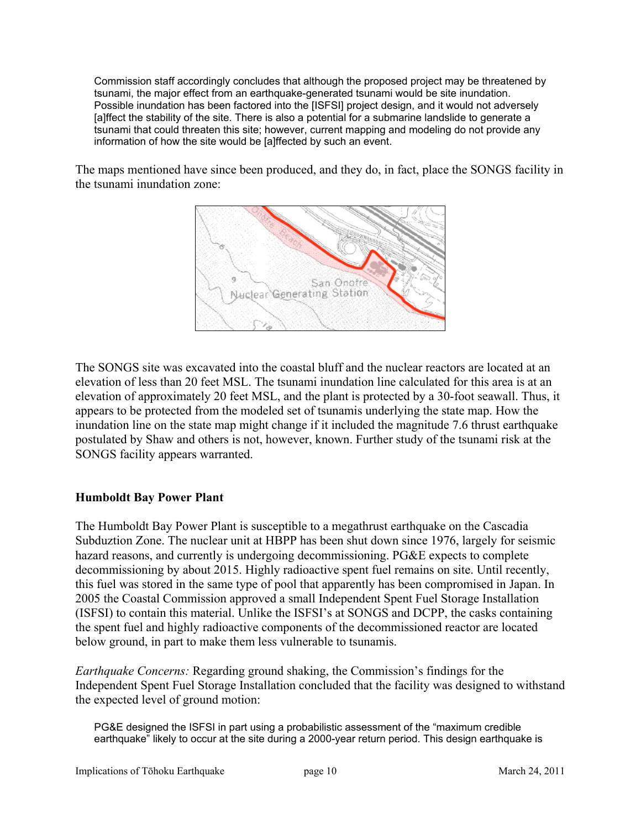Commission staff accordingly concludes that although the proposed project may be threatened by tsunami, the major effect from an earthquake-generated tsunami would be site inundation. Possible inundation has been factored into the [ISFSI] project design, and it would not adversely [a]ffect the stability of the site. There is also a potential for a submarine landslide to generate a tsunami that could threaten this site; however, current mapping and modeling do not provide any information of how the site would be [a]ffected by such an event.

The maps mentioned have since been produced, and they do, in fact, place the SONGS facility in the tsunami inundation zone:



The SONGS site was excavated into the coastal bluff and the nuclear reactors are located at an elevation of less than 20 feet MSL. The tsunami inundation line calculated for this area is at an elevation of approximately 20 feet MSL, and the plant is protected by a 30-foot seawall. Thus, it appears to be protected from the modeled set of tsunamis underlying the state map. How the inundation line on the state map might change if it included the magnitude 7.6 thrust earthquake postulated by Shaw and others is not, however, known. Further study of the tsunami risk at the SONGS facility appears warranted.

### **Humboldt Bay Power Plant**

The Humboldt Bay Power Plant is susceptible to a megathrust earthquake on the Cascadia Subduztion Zone. The nuclear unit at HBPP has been shut down since 1976, largely for seismic hazard reasons, and currently is undergoing decommissioning. PG&E expects to complete decommissioning by about 2015. Highly radioactive spent fuel remains on site. Until recently, this fuel was stored in the same type of pool that apparently has been compromised in Japan. In 2005 the Coastal Commission approved a small Independent Spent Fuel Storage Installation (ISFSI) to contain this material. Unlike the ISFSI's at SONGS and DCPP, the casks containing the spent fuel and highly radioactive components of the decommissioned reactor are located below ground, in part to make them less vulnerable to tsunamis.

*Earthquake Concerns:* Regarding ground shaking, the Commission's findings for the Independent Spent Fuel Storage Installation concluded that the facility was designed to withstand the expected level of ground motion:

PG&E designed the ISFSI in part using a probabilistic assessment of the "maximum credible" earthquake<sup>"</sup> likely to occur at the site during a 2000-year return period. This design earthquake is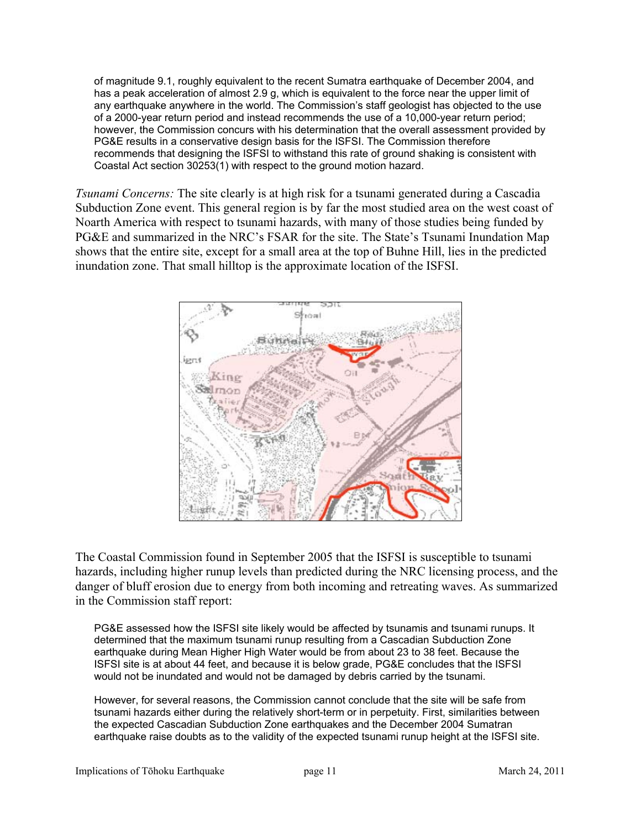of magnitude 9.1, roughly equivalent to the recent Sumatra earthquake of December 2004, and has a peak acceleration of almost 2.9 g, which is equivalent to the force near the upper limit of any earthquake anywhere in the world. The Commission's staff geologist has objected to the use of a 2000-year return period and instead recommends the use of a 10,000-year return period; however, the Commission concurs with his determination that the overall assessment provided by PG&E results in a conservative design basis for the ISFSI. The Commission therefore recommends that designing the ISFSI to withstand this rate of ground shaking is consistent with Coastal Act section 30253(1) with respect to the ground motion hazard.

*Tsunami Concerns:* The site clearly is at high risk for a tsunami generated during a Cascadia Subduction Zone event. This general region is by far the most studied area on the west coast of Noarth America with respect to tsunami hazards, with many of those studies being funded by PG&E and summarized in the NRC's FSAR for the site. The State's Tsunami Inundation Map shows that the entire site, except for a small area at the top of Buhne Hill, lies in the predicted inundation zone. That small hilltop is the approximate location of the ISFSI.



The Coastal Commission found in September 2005 that the ISFSI is susceptible to tsunami hazards, including higher runup levels than predicted during the NRC licensing process, and the danger of bluff erosion due to energy from both incoming and retreating waves. As summarized in the Commission staff report:

PG&E assessed how the ISFSI site likely would be affected by tsunamis and tsunami runups. It determined that the maximum tsunami runup resulting from a Cascadian Subduction Zone earthquake during Mean Higher High Water would be from about 23 to 38 feet. Because the ISFSI site is at about 44 feet, and because it is below grade, PG&E concludes that the ISFSI would not be inundated and would not be damaged by debris carried by the tsunami.

However, for several reasons, the Commission cannot conclude that the site will be safe from tsunami hazards either during the relatively short-term or in perpetuity. First, similarities between the expected Cascadian Subduction Zone earthquakes and the December 2004 Sumatran earthquake raise doubts as to the validity of the expected tsunami runup height at the ISFSI site.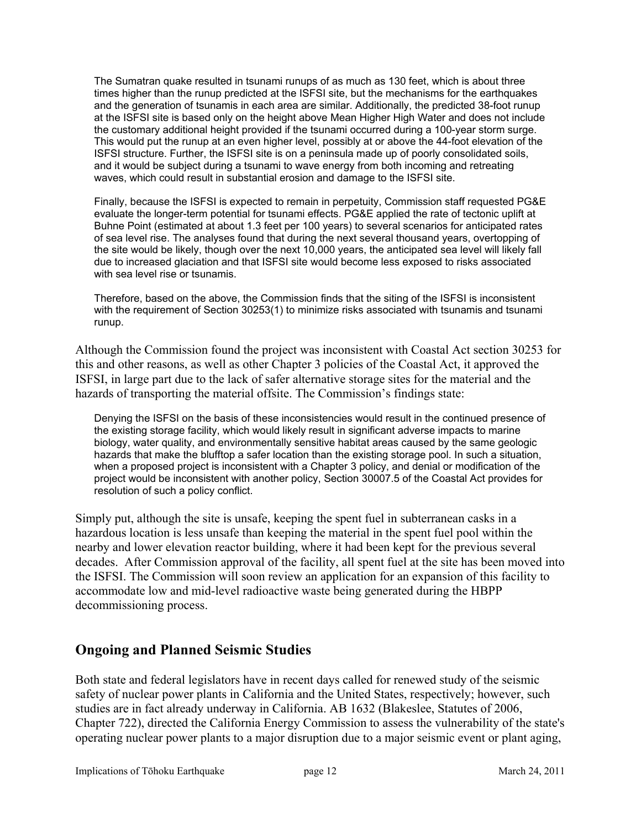The Sumatran quake resulted in tsunami runups of as much as 130 feet, which is about three times higher than the runup predicted at the ISFSI site, but the mechanisms for the earthquakes and the generation of tsunamis in each area are similar. Additionally, the predicted 38-foot runup at the ISFSI site is based only on the height above Mean Higher High Water and does not include the customary additional height provided if the tsunami occurred during a 100-year storm surge. This would put the runup at an even higher level, possibly at or above the 44-foot elevation of the ISFSI structure. Further, the ISFSI site is on a peninsula made up of poorly consolidated soils, and it would be subject during a tsunami to wave energy from both incoming and retreating waves, which could result in substantial erosion and damage to the ISFSI site.

Finally, because the ISFSI is expected to remain in perpetuity, Commission staff requested PG&E evaluate the longer-term potential for tsunami effects. PG&E applied the rate of tectonic uplift at Buhne Point (estimated at about 1.3 feet per 100 years) to several scenarios for anticipated rates of sea level rise. The analyses found that during the next several thousand years, overtopping of the site would be likely, though over the next 10,000 years, the anticipated sea level will likely fall due to increased glaciation and that ISFSI site would become less exposed to risks associated with sea level rise or tsunamis.

Therefore, based on the above, the Commission finds that the siting of the ISFSI is inconsistent with the requirement of Section 30253(1) to minimize risks associated with tsunamis and tsunami runup.

Although the Commission found the project was inconsistent with Coastal Act section 30253 for this and other reasons, as well as other Chapter 3 policies of the Coastal Act, it approved the ISFSI, in large part due to the lack of safer alternative storage sites for the material and the hazards of transporting the material offsite. The Commission's findings state:

Denying the ISFSI on the basis of these inconsistencies would result in the continued presence of the existing storage facility, which would likely result in significant adverse impacts to marine biology, water quality, and environmentally sensitive habitat areas caused by the same geologic hazards that make the blufftop a safer location than the existing storage pool. In such a situation, when a proposed project is inconsistent with a Chapter 3 policy, and denial or modification of the project would be inconsistent with another policy, Section 30007.5 of the Coastal Act provides for resolution of such a policy conflict.

Simply put, although the site is unsafe, keeping the spent fuel in subterranean casks in a hazardous location is less unsafe than keeping the material in the spent fuel pool within the nearby and lower elevation reactor building, where it had been kept for the previous several decades. After Commission approval of the facility, all spent fuel at the site has been moved into the ISFSI. The Commission will soon review an application for an expansion of this facility to accommodate low and mid-level radioactive waste being generated during the HBPP decommissioning process.

## **Ongoing and Planned Seismic Studies**

Both state and federal legislators have in recent days called for renewed study of the seismic safety of nuclear power plants in California and the United States, respectively; however, such studies are in fact already underway in California. AB 1632 (Blakeslee, Statutes of 2006, Chapter 722), directed the California Energy Commission to assess the vulnerability of the state's operating nuclear power plants to a major disruption due to a major seismic event or plant aging,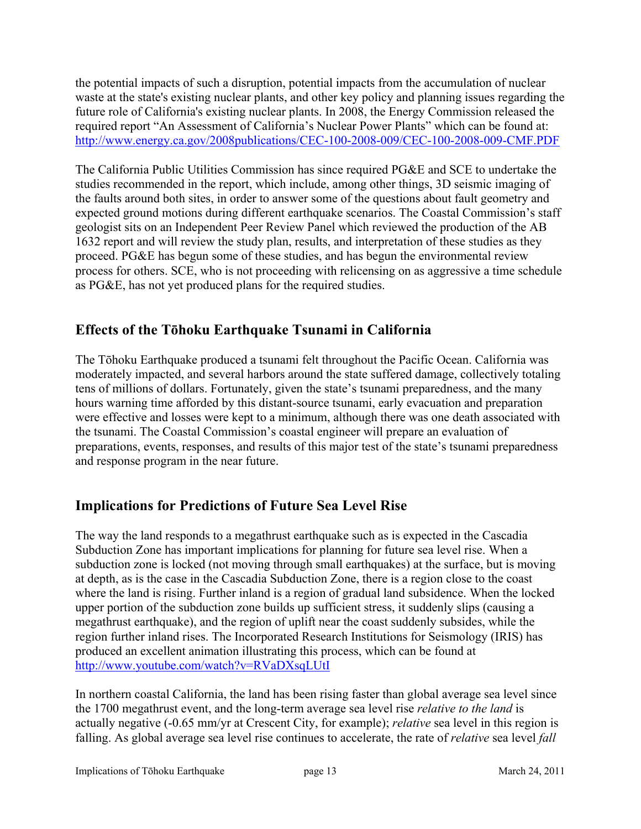the potential impacts of such a disruption, potential impacts from the accumulation of nuclear waste at the state's existing nuclear plants, and other key policy and planning issues regarding the future role of California's existing nuclear plants. In 2008, the Energy Commission released the required report "An Assessment of California's Nuclear Power Plants" which can be found at: <http://www.energy.ca.gov/2008publications/CEC-100-2008-009/CEC-100-2008-009-CMF.PDF>

The California Public Utilities Commission has since required PG&E and SCE to undertake the studies recommended in the report, which include, among other things, 3D seismic imaging of the faults around both sites, in order to answer some of the questions about fault geometry and expected ground motions during different earthquake scenarios. The Coastal Commission's staff geologist sits on an Independent Peer Review Panel which reviewed the production of the AB 1632 report and will review the study plan, results, and interpretation of these studies as they proceed. PG&E has begun some of these studies, and has begun the environmental review process for others. SCE, who is not proceeding with relicensing on as aggressive a time schedule as PG&E, has not yet produced plans for the required studies.

# **Effects of the Tǀhoku Earthquake Tsunami in California**

The Tōhoku Earthquake produced a tsunami felt throughout the Pacific Ocean. California was moderately impacted, and several harbors around the state suffered damage, collectively totaling tens of millions of dollars. Fortunately, given the state's tsunami preparedness, and the many hours warning time afforded by this distant-source tsunami, early evacuation and preparation were effective and losses were kept to a minimum, although there was one death associated with the tsunami. The Coastal Commission's coastal engineer will prepare an evaluation of preparations, events, responses, and results of this major test of the state's tsunami preparedness and response program in the near future.

# **Implications for Predictions of Future Sea Level Rise**

The way the land responds to a megathrust earthquake such as is expected in the Cascadia Subduction Zone has important implications for planning for future sea level rise. When a subduction zone is locked (not moving through small earthquakes) at the surface, but is moving at depth, as is the case in the Cascadia Subduction Zone, there is a region close to the coast where the land is rising. Further inland is a region of gradual land subsidence. When the locked upper portion of the subduction zone builds up sufficient stress, it suddenly slips (causing a megathrust earthquake), and the region of uplift near the coast suddenly subsides, while the region further inland rises. The Incorporated Research Institutions for Seismology (IRIS) has produced an excellent animation illustrating this process, which can be found at <http://www.youtube.com/watch?v=RVaDXsqLUtI>

In northern coastal California, the land has been rising faster than global average sea level since the 1700 megathrust event, and the long-term average sea level rise *relative to the land* is actually negative (-0.65 mm/yr at Crescent City, for example); *relative* sea level in this region is falling. As global average sea level rise continues to accelerate, the rate of *relative* sea level *fall*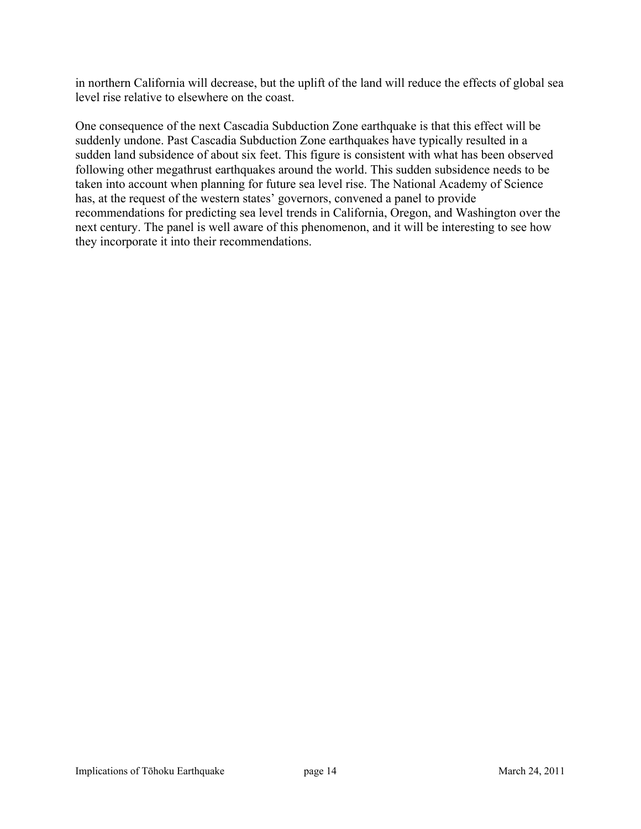in northern California will decrease, but the uplift of the land will reduce the effects of global sea level rise relative to elsewhere on the coast.

One consequence of the next Cascadia Subduction Zone earthquake is that this effect will be suddenly undone. Past Cascadia Subduction Zone earthquakes have typically resulted in a sudden land subsidence of about six feet. This figure is consistent with what has been observed following other megathrust earthquakes around the world. This sudden subsidence needs to be taken into account when planning for future sea level rise. The National Academy of Science has, at the request of the western states' governors, convened a panel to provide recommendations for predicting sea level trends in California, Oregon, and Washington over the next century. The panel is well aware of this phenomenon, and it will be interesting to see how they incorporate it into their recommendations.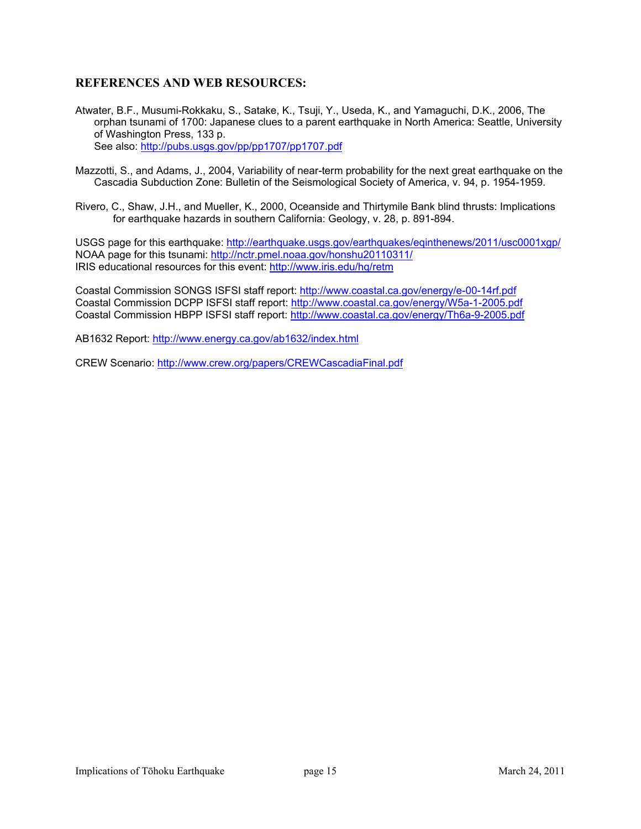#### **REFERENCES AND WEB RESOURCES:**

- Atwater, B.F., Musumi-Rokkaku, S., Satake, K., Tsuji, Y., Useda, K., and Yamaguchi, D.K., 2006, The orphan tsunami of 1700: Japanese clues to a parent earthquake in North America: Seattle, University of Washington Press, 133 p. See also:<http://pubs.usgs.gov/pp/pp1707/pp1707.pdf>
- Mazzotti, S., and Adams, J., 2004, Variability of near-term probability for the next great earthquake on the Cascadia Subduction Zone: Bulletin of the Seismological Society of America, v. 94, p. 1954-1959.
- Rivero, C., Shaw, J.H., and Mueller, K., 2000, Oceanside and Thirtymile Bank blind thrusts: Implications for earthquake hazards in southern California: Geology, v. 28, p. 891-894.

USGS page for this earthquake: <http://earthquake.usgs.gov/earthquakes/eqinthenews/2011/usc0001xgp/> NOAA page for this tsunami:<http://nctr.pmel.noaa.gov/honshu20110311/> IRIS educational resources for this event: <http://www.iris.edu/hq/retm>

Coastal Commission SONGS ISFSI staff report:<http://www.coastal.ca.gov/energy/e-00-14rf.pdf> Coastal Commission DCPP ISFSI staff report:<http://www.coastal.ca.gov/energy/W5a-1-2005.pdf> Coastal Commission HBPP ISFSI staff report: <http://www.coastal.ca.gov/energy/Th6a-9-2005.pdf>

AB1632 Report: <http://www.energy.ca.gov/ab1632/index.html>

CREW Scenario:<http://www.crew.org/papers/CREWCascadiaFinal.pdf>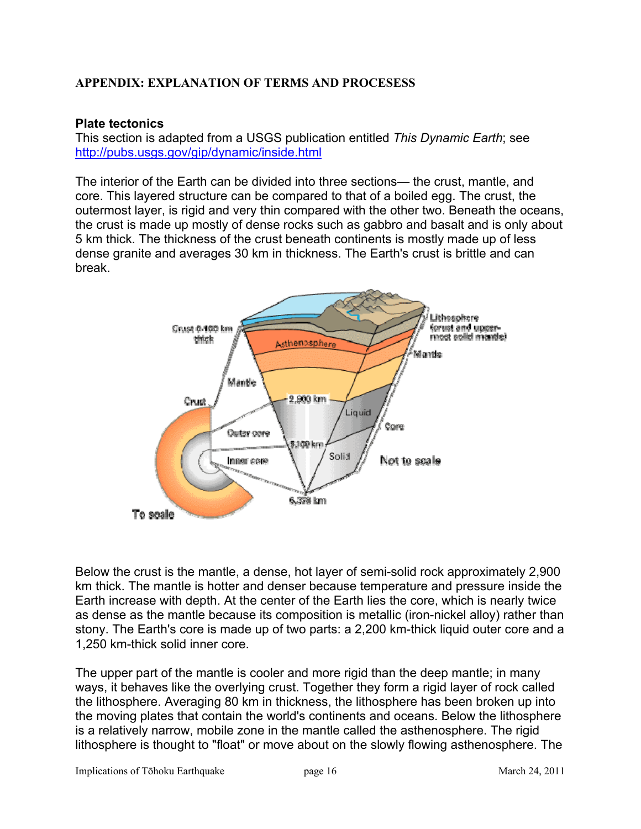### **APPENDIX: EXPLANATION OF TERMS AND PROCESESS**

### **Plate tectonics**

This section is adapted from a USGS publication entitled *This Dynamic Earth*; see <http://pubs.usgs.gov/gip/dynamic/inside.html>

The interior of the Earth can be divided into three sections— the crust, mantle, and core. This layered structure can be compared to that of a boiled egg. The crust, the outermost layer, is rigid and very thin compared with the other two. Beneath the oceans, the crust is made up mostly of dense rocks such as gabbro and basalt and is only about 5 km thick. The thickness of the crust beneath continents is mostly made up of less dense granite and averages 30 km in thickness. The Earth's crust is brittle and can break.



Below the crust is the mantle, a dense, hot layer of semi-solid rock approximately 2,900 km thick. The mantle is hotter and denser because temperature and pressure inside the Earth increase with depth. At the center of the Earth lies the core, which is nearly twice as dense as the mantle because its composition is metallic (iron-nickel alloy) rather than stony. The Earth's core is made up of two parts: a 2,200 km-thick liquid outer core and a 1,250 km-thick solid inner core.

The upper part of the mantle is cooler and more rigid than the deep mantle; in many ways, it behaves like the overlying crust. Together they form a rigid layer of rock called the lithosphere. Averaging 80 km in thickness, the lithosphere has been broken up into the moving plates that contain the world's continents and oceans. Below the lithosphere is a relatively narrow, mobile zone in the mantle called the asthenosphere. The rigid lithosphere is thought to "float" or move about on the slowly flowing asthenosphere. The

Implications of Tōhoku Earthquake page 16 March 24, 2011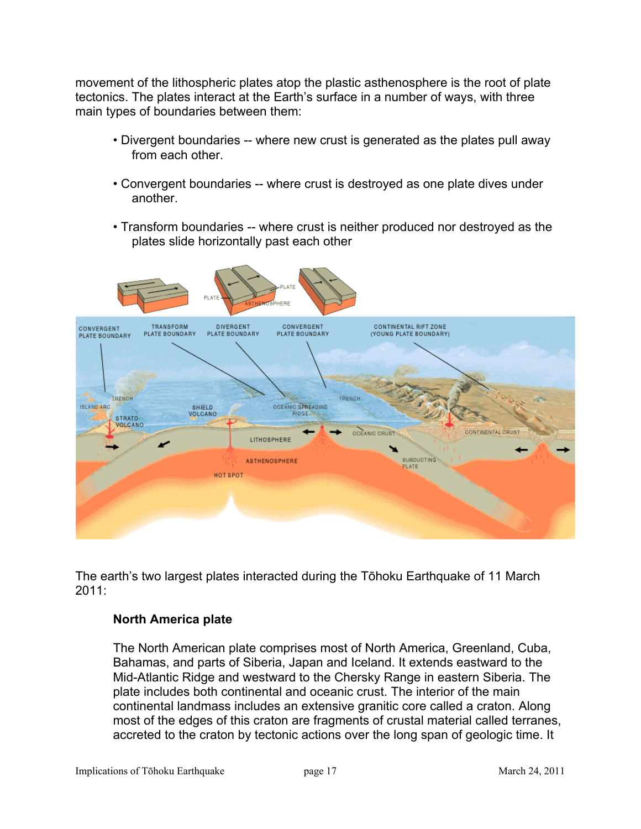movement of the lithospheric plates atop the plastic asthenosphere is the root of plate tectonics. The plates interact at the Earth's surface in a number of ways, with three main types of boundaries between them:

- Divergent boundaries -- where new crust is generated as the plates pull away from each other.
- Convergent boundaries -- where crust is destroyed as one plate dives under another.
- Transform boundaries -- where crust is neither produced nor destroyed as the plates slide horizontally past each other



The earth's two largest plates interacted during the Tōhoku Earthquake of 11 March 2011:

### **North America plate**

The North American plate comprises most of North America, Greenland, Cuba, Bahamas, and parts of Siberia, Japan and Iceland. It extends eastward to the Mid-Atlantic Ridge and westward to the Chersky Range in eastern Siberia. The plate includes both continental and oceanic crust. The interior of the main continental landmass includes an extensive granitic core called a craton. Along most of the edges of this craton are fragments of crustal material called terranes, accreted to the craton by tectonic actions over the long span of geologic time. It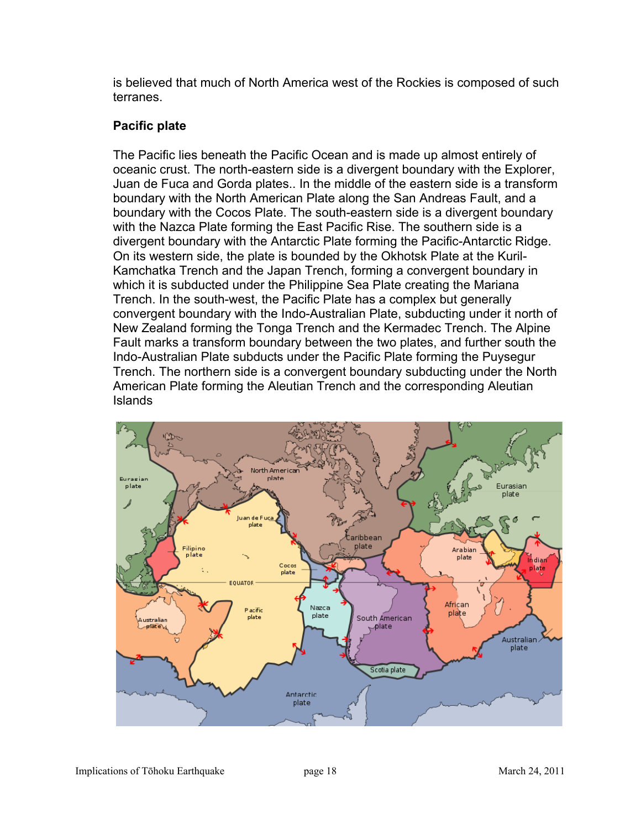is believed that much of North America west of the Rockies is composed of such terranes.

## **Pacific plate**

The Pacific lies beneath the Pacific Ocean and is made up almost entirely of oceanic crust. The north-eastern side is a divergent boundary with the Explorer, Juan de Fuca and Gorda plates.. In the middle of the eastern side is a transform boundary with the North American Plate along the San Andreas Fault, and a boundary with the Cocos Plate. The south-eastern side is a divergent boundary with the Nazca Plate forming the East Pacific Rise. The southern side is a divergent boundary with the Antarctic Plate forming the Pacific-Antarctic Ridge. On its western side, the plate is bounded by the Okhotsk Plate at the Kuril-Kamchatka Trench and the Japan Trench, forming a convergent boundary in which it is subducted under the Philippine Sea Plate creating the Mariana Trench. In the south-west, the Pacific Plate has a complex but generally convergent boundary with the Indo-Australian Plate, subducting under it north of New Zealand forming the Tonga Trench and the Kermadec Trench. The Alpine Fault marks a transform boundary between the two plates, and further south the Indo-Australian Plate subducts under the Pacific Plate forming the Puysegur Trench. The northern side is a convergent boundary subducting under the North American Plate forming the Aleutian Trench and the corresponding Aleutian Islands

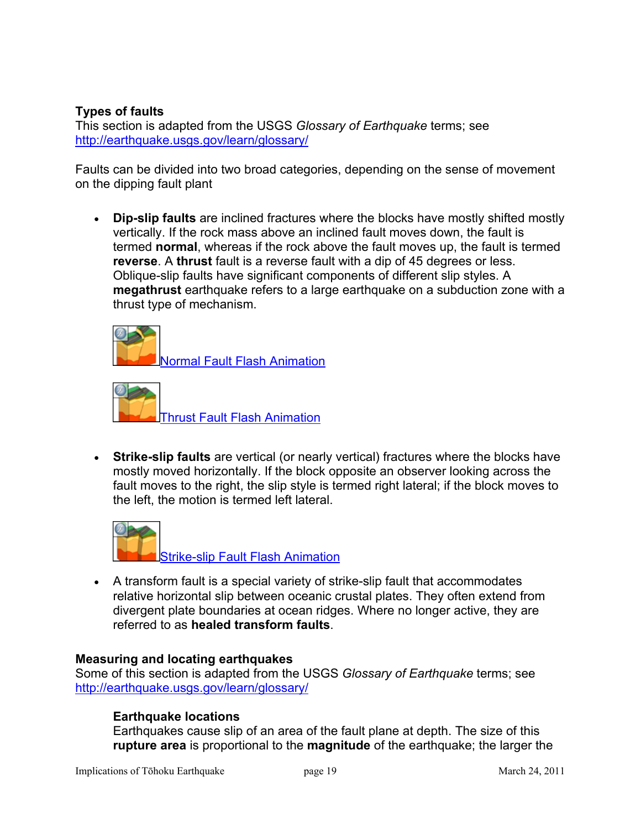### **Types of faults**

This section is adapted from the USGS *Glossary of Earthquake* terms; see <http://earthquake.usgs.gov/learn/glossary/>

Faults can be divided into two broad categories, depending on the sense of movement on the dipping fault plant

**Dip-slip faults** are inclined fractures where the blocks have mostly shifted mostly vertically. If the rock mass above an inclined fault moves down, the fault is termed **normal**, whereas if the rock above the fault moves up, the fault is termed **reverse**. A **thrust** fault is a reverse fault with a dip of 45 degrees or less. Oblique-slip faults have significant components of different slip styles. A **megathrust** earthquake refers to a large earthquake on a subduction zone with a thrust type of mechanism.

[Normal Fault Flash Animation](http://earthquake.usgs.gov/learn/animations/animation.php?flash_title=Normal+Fault+Flash+Animation&flash_file=normalfault&flash_width=220&flash_height=320) 



**Strike-slip faults** are vertical (or nearly vertical) fractures where the blocks have mostly moved horizontally. If the block opposite an observer looking across the fault moves to the right, the slip style is termed right lateral; if the block moves to the left, the motion is termed left lateral.



• A transform fault is a special variety of strike-slip fault that accommodates relative horizontal slip between oceanic crustal plates. They often extend from divergent plate boundaries at ocean ridges. Where no longer active, they are referred to as **healed transform faults**.

### **Measuring and locating earthquakes**

Some of this section is adapted from the USGS *Glossary of Earthquake* terms; see <http://earthquake.usgs.gov/learn/glossary/>

### **Earthquake locations**

Earthquakes cause slip of an area of the fault plane at depth. The size of this **rupture area** is proportional to the **magnitude** of the earthquake; the larger the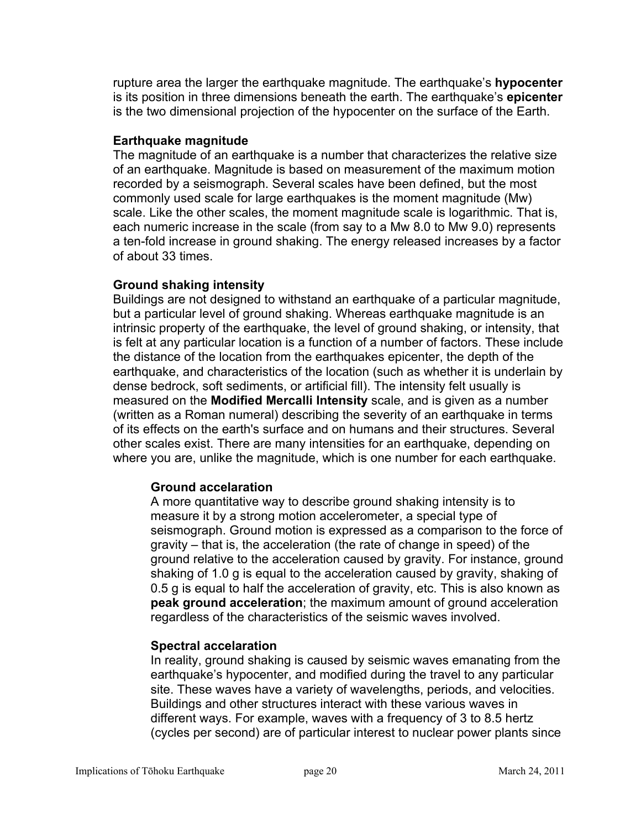rupture area the larger the earthquake magnitude. The earthquake's **hypocenter** is its position in three dimensions beneath the earth. The earthquake's **epicenter** is the two dimensional projection of the hypocenter on the surface of the Earth.

### **Earthquake magnitude**

The magnitude of an earthquake is a number that characterizes the relative size of an earthquake. Magnitude is based on measurement of the maximum motion recorded by a seismograph. Several scales have been defined, but the most commonly used scale for large earthquakes is the moment magnitude (Mw) scale. Like the other scales, the moment magnitude scale is logarithmic. That is, each numeric increase in the scale (from say to a Mw 8.0 to Mw 9.0) represents a ten-fold increase in ground shaking. The energy released increases by a factor of about 33 times.

### **Ground shaking intensity**

Buildings are not designed to withstand an earthquake of a particular magnitude, but a particular level of ground shaking. Whereas earthquake magnitude is an intrinsic property of the earthquake, the level of ground shaking, or intensity, that is felt at any particular location is a function of a number of factors. These include the distance of the location from the earthquakes epicenter, the depth of the earthquake, and characteristics of the location (such as whether it is underlain by dense bedrock, soft sediments, or artificial fill). The intensity felt usually is measured on the **Modified Mercalli Intensity** scale, and is given as a number (written as a Roman numeral) describing the severity of an earthquake in terms of its effects on the earth's surface and on humans and their structures. Several other scales exist. There are many intensities for an earthquake, depending on where you are, unlike the magnitude, which is one number for each earthquake.

### **Ground accelaration**

A more quantitative way to describe ground shaking intensity is to measure it by a strong motion accelerometer, a special type of seismograph. Ground motion is expressed as a comparison to the force of gravity  $-$  that is, the acceleration (the rate of change in speed) of the ground relative to the acceleration caused by gravity. For instance, ground shaking of 1.0 g is equal to the acceleration caused by gravity, shaking of 0.5 g is equal to half the acceleration of gravity, etc. This is also known as **peak ground acceleration**; the maximum amount of ground acceleration regardless of the characteristics of the seismic waves involved.

### **Spectral accelaration**

In reality, ground shaking is caused by seismic waves emanating from the earthquake's hypocenter, and modified during the travel to any particular site. These waves have a variety of wavelengths, periods, and velocities. Buildings and other structures interact with these various waves in different ways. For example, waves with a frequency of 3 to 8.5 hertz (cycles per second) are of particular interest to nuclear power plants since